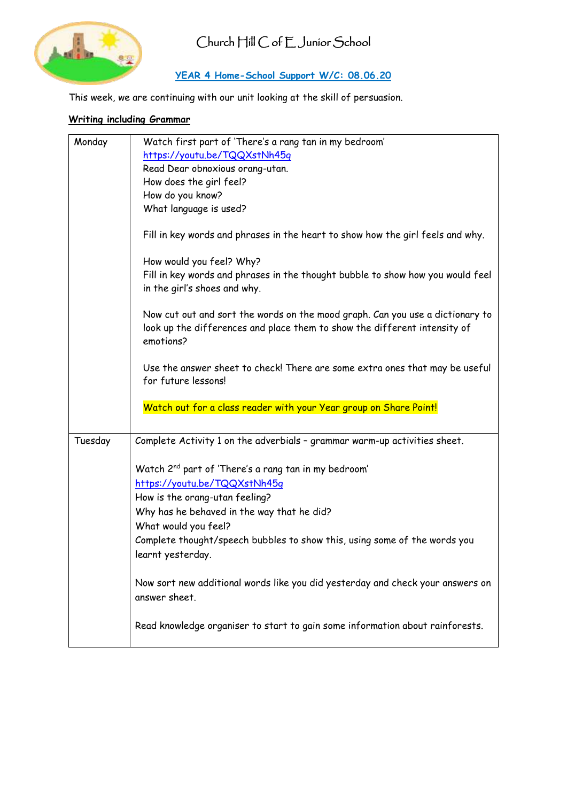

#### **YEAR 4 Home-School Support W/C: 08.06.20**

This week, we are continuing with our unit looking at the skill of persuasion.

#### **Writing including Grammar**

| Monday  | Watch first part of 'There's a rang tan in my bedroom'                                                                                                                  |
|---------|-------------------------------------------------------------------------------------------------------------------------------------------------------------------------|
|         | https://youtu.be/TQQXstNh45q                                                                                                                                            |
|         | Read Dear obnoxious orang-utan.                                                                                                                                         |
|         | How does the girl feel?                                                                                                                                                 |
|         | How do you know?                                                                                                                                                        |
|         | What language is used?                                                                                                                                                  |
|         |                                                                                                                                                                         |
|         | Fill in key words and phrases in the heart to show how the girl feels and why.                                                                                          |
|         | How would you feel? Why?                                                                                                                                                |
|         | Fill in key words and phrases in the thought bubble to show how you would feel<br>in the girl's shoes and why.                                                          |
|         | Now cut out and sort the words on the mood graph. Can you use a dictionary to<br>look up the differences and place them to show the different intensity of<br>emotions? |
|         | Use the answer sheet to check! There are some extra ones that may be useful<br>for future lessons!                                                                      |
|         | Watch out for a class reader with your Year group on Share Point!                                                                                                       |
|         |                                                                                                                                                                         |
|         |                                                                                                                                                                         |
| Tuesday | Complete Activity 1 on the adverbials - grammar warm-up activities sheet.                                                                                               |
|         |                                                                                                                                                                         |
|         | Watch 2 <sup>nd</sup> part of 'There's a rang tan in my bedroom'                                                                                                        |
|         | https://youtu.be/TQQXstNh45q                                                                                                                                            |
|         | How is the orang-utan feeling?                                                                                                                                          |
|         | Why has he behaved in the way that he did?                                                                                                                              |
|         | What would you feel?                                                                                                                                                    |
|         | Complete thought/speech bubbles to show this, using some of the words you                                                                                               |
|         | learnt yesterday.                                                                                                                                                       |
|         | Now sort new additional words like you did yesterday and check your answers on<br>answer sheet.                                                                         |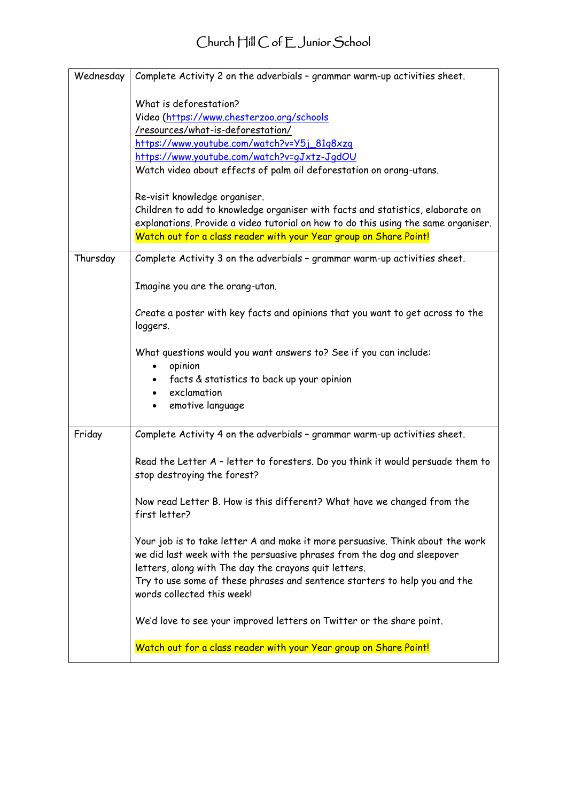| Wednesday | Complete Activity 2 on the adverbials - grammar warm-up activities sheet.                                                                                                                                                                                                                                                                                                                        |
|-----------|--------------------------------------------------------------------------------------------------------------------------------------------------------------------------------------------------------------------------------------------------------------------------------------------------------------------------------------------------------------------------------------------------|
|           | What is deforestation?<br>Video (https://www.chesterzoo.org/schools<br>/resources/what-is-deforestation/<br>https://www.youtube.com/watch?v=Y5j_81g8xzq<br>https://www.youtube.com/watch?v=gJxtz-JgdOU<br>Watch video about effects of palm oil deforestation on orang-utans.<br>Re-visit knowledge organiser.<br>Children to add to knowledge organiser with facts and statistics, elaborate on |
|           | explanations. Provide a video tutorial on how to do this using the same organiser.<br>Watch out for a class reader with your Year group on Share Point!                                                                                                                                                                                                                                          |
| Thursday  | Complete Activity 3 on the adverbials - grammar warm-up activities sheet.                                                                                                                                                                                                                                                                                                                        |
|           | Imagine you are the orang-utan.                                                                                                                                                                                                                                                                                                                                                                  |
|           | Create a poster with key facts and opinions that you want to get across to the<br>loggers.                                                                                                                                                                                                                                                                                                       |
|           | What questions would you want answers to? See if you can include:<br>opinion<br>facts & statistics to back up your opinion<br>exclamation<br>emotive language                                                                                                                                                                                                                                    |
| Friday    | Complete Activity 4 on the adverbials - grammar warm-up activities sheet.                                                                                                                                                                                                                                                                                                                        |
|           | Read the Letter A - letter to foresters. Do you think it would persuade them to<br>stop destroying the forest?                                                                                                                                                                                                                                                                                   |
|           | Now read Letter B. How is this different? What have we changed from the<br>first letter?                                                                                                                                                                                                                                                                                                         |
|           | Your job is to take letter A and make it more persuasive. Think about the work<br>we did last week with the persuasive phrases from the dog and sleepover<br>letters, along with The day the crayons quit letters.<br>Try to use some of these phrases and sentence starters to help you and the<br>words collected this week!                                                                   |
|           | We'd love to see your improved letters on Twitter or the share point.                                                                                                                                                                                                                                                                                                                            |
|           | Watch out for a class reader with your Year group on Share Point!                                                                                                                                                                                                                                                                                                                                |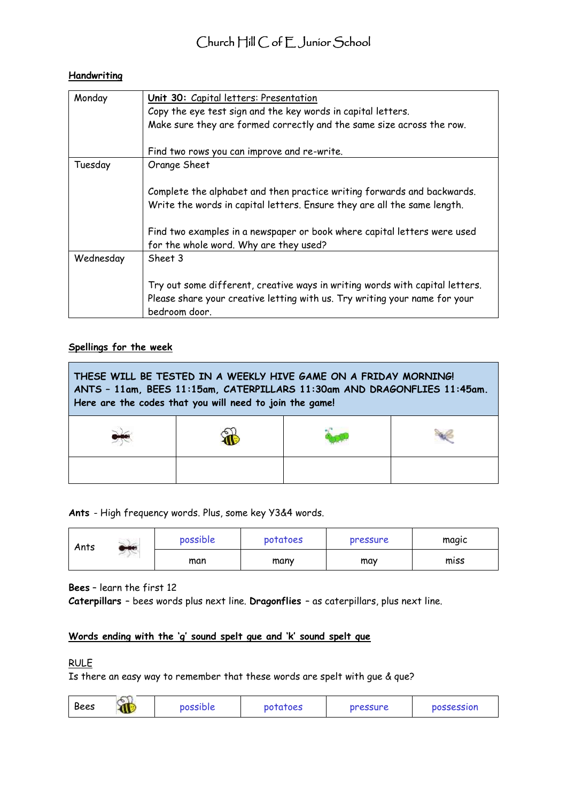#### **Handwriting**

| Monday    | Unit 30: Capital letters: Presentation                                       |
|-----------|------------------------------------------------------------------------------|
|           | Copy the eye test sign and the key words in capital letters.                 |
|           | Make sure they are formed correctly and the same size across the row.        |
|           |                                                                              |
|           | Find two rows you can improve and re-write.                                  |
| Tuesday   | Orange Sheet                                                                 |
|           |                                                                              |
|           | Complete the alphabet and then practice writing forwards and backwards.      |
|           | Write the words in capital letters. Ensure they are all the same length.     |
|           |                                                                              |
|           | Find two examples in a newspaper or book where capital letters were used     |
|           | for the whole word. Why are they used?                                       |
| Wednesday | Sheet 3                                                                      |
|           |                                                                              |
|           | Try out some different, creative ways in writing words with capital letters. |
|           | Please share your creative letting with us. Try writing your name for your   |
|           | bedroom door.                                                                |

#### **Spellings for the week**

| Here are the codes that you will need to join the game! | THESE WILL BE TESTED IN A WEEKLY HIVE GAME ON A FRIDAY MORNING!<br>ANTS - 11am, BEES 11:15am, CATERPILLARS 11:30am AND DRAGONFLIES 11:45am. |  |
|---------------------------------------------------------|---------------------------------------------------------------------------------------------------------------------------------------------|--|
|                                                         |                                                                                                                                             |  |
|                                                         |                                                                                                                                             |  |

**Ants** - High frequency words. Plus, some key Y3&4 words.

| Ants | ×<br>$-1$ | possible | potatoes | pressure | magic |
|------|-----------|----------|----------|----------|-------|
|      |           | man      | many     | may      | miss  |

**Bees** – learn the first 12

**Caterpillars** – bees words plus next line. **Dragonflies** – as caterpillars, plus next line.

#### **Words ending with the 'g' sound spelt gue and 'k' sound spelt que**

#### RULE

Is there an easy way to remember that these words are spelt with gue & que?

| Bees | Ñ | possible | potatoes | pressure | <b>possession</b> |
|------|---|----------|----------|----------|-------------------|
|------|---|----------|----------|----------|-------------------|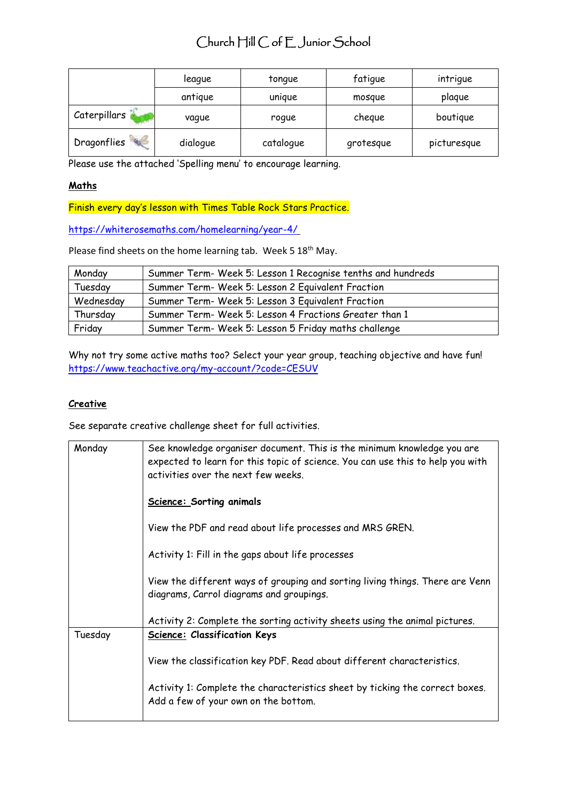|              | league   | tonque    | fatigue   | intrique    |
|--------------|----------|-----------|-----------|-------------|
|              | antique  | unique    | mosque    | plaque      |
| Caterpillars | vague    | roque     | cheque    | boutique    |
| Dragonflies  | dialogue | catalogue | grotesque | picturesque |

Please use the attached 'Spelling menu' to encourage learning.

#### **Maths**

Finish every day's lesson with Times Table Rock Stars Practice.

[https://whiterosemaths.com/homelearning/year-4/](https://whiterosemaths.com/homelearning/year-4/ )

Please find sheets on the home learning tab. Week 5 18<sup>th</sup> May.

| Monday    | Summer Term- Week 5: Lesson 1 Recognise tenths and hundreds |
|-----------|-------------------------------------------------------------|
| Tuesday   | Summer Term- Week 5: Lesson 2 Equivalent Fraction           |
| Wednesday | Summer Term- Week 5: Lesson 3 Equivalent Fraction           |
| Thursday  | Summer Term- Week 5: Lesson 4 Fractions Greater than 1      |
| Friday    | Summer Term- Week 5: Lesson 5 Friday maths challenge        |

Why not try some active maths too? Select your year group, teaching objective and have fun! <https://www.teachactive.org/my-account/?code=CESUV>

#### **Creative**

See separate creative challenge sheet for full activities.

| Monday  | See knowledge organiser document. This is the minimum knowledge you are<br>expected to learn for this topic of science. You can use this to help you with<br>activities over the next few weeks. |
|---------|--------------------------------------------------------------------------------------------------------------------------------------------------------------------------------------------------|
|         | <b>Science: Sorting animals</b>                                                                                                                                                                  |
|         | View the PDF and read about life processes and MRS GREN.                                                                                                                                         |
|         | Activity 1: Fill in the gaps about life processes                                                                                                                                                |
|         | View the different ways of grouping and sorting living things. There are Venn<br>diagrams, Carrol diagrams and groupings.                                                                        |
|         | Activity 2: Complete the sorting activity sheets using the animal pictures.                                                                                                                      |
| Tuesday | <b>Science: Classification Keys</b>                                                                                                                                                              |
|         | View the classification key PDF. Read about different characteristics.                                                                                                                           |
|         | Activity 1: Complete the characteristics sheet by ticking the correct boxes.<br>Add a few of your own on the bottom.                                                                             |